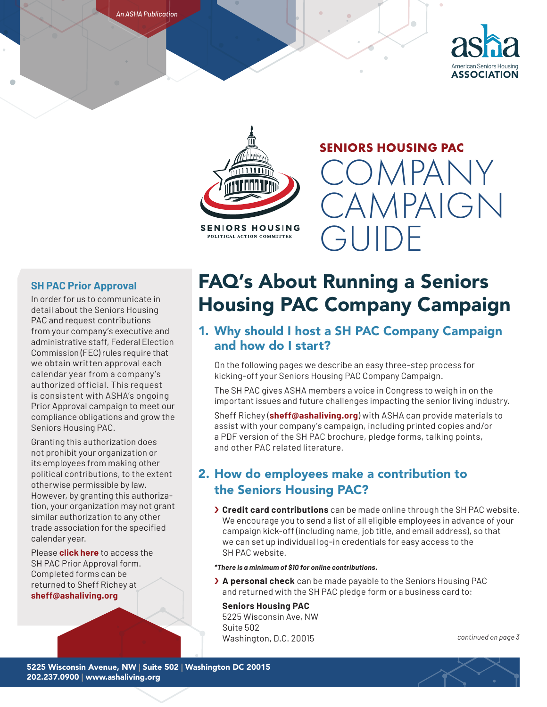





**SENIORS HOUSING** POLITICAL ACTION COMMITTEE

## **SENIORS HOUSING PAC**  COMPANY

**CAMPAIGN** 

### **SH PAC Prior Approval**

In order for us to communicate in detail about the Seniors Housing PAC and request contributions from your company's executive and administrative staff, Federal Election Commission (FEC) rules require that we obtain written approval each calendar year from a company's authorized official. This request is consistent with ASHA's ongoing Prior Approval campaign to meet our compliance obligations and grow the Seniors Housing PAC.

Granting this authorization does not prohibit your organization or its employees from making other political contributions, to the extent otherwise permissible by law. However, by granting this authorization, your organization may not grant similar authorization to any other trade association for the specified calendar year.

Please **[click here](https://www.ashaliving.org/wp-content/uploads/2021/06/2021-SH-PAC-Prior-Approval-Writable.pdf)** to access the SH PAC Prior Approval form. Completed forms can be returned to Sheff Richey at **sheff@ashaliving.org**

# FAQ's About Running a Seniors Housing PAC Company Campaign

GUIDE

## 1. Why should I host a SH PAC Company Campaign and how do I start?

On the following pages we describe an easy three-step process for kicking-off your Seniors Housing PAC Company Campaign.

The SH PAC gives ASHA members a voice in Congress to weigh in on the important issues and future challenges impacting the senior living industry.

Sheff Richey (**sheff@ashaliving.org**) with ASHA can provide materials to assist with your company's campaign, including printed copies and/or a PDF version of the SH PAC brochure, pledge forms, talking points, and other PAC related literature.

## 2. How do employees make a contribution to the Seniors Housing PAC?

› **Credit card contributions** can be made online through the SH PAC website. We encourage you to send a list of all eligible employees in advance of your campaign kick-off (including name, job title, and email address), so that we can set up individual log-in credentials for easy access to the SH PAC website.

#### *\*There is a minimum of \$10 for online contributions.*

› **A personal check** can be made payable to the Seniors Housing PAC and returned with the SH PAC pledge form or a business card to:

#### **Seniors Housing PAC**

5225 Wisconsin Ave, NW Suite 502 Washington, D.C. 20015 *continued on page 3*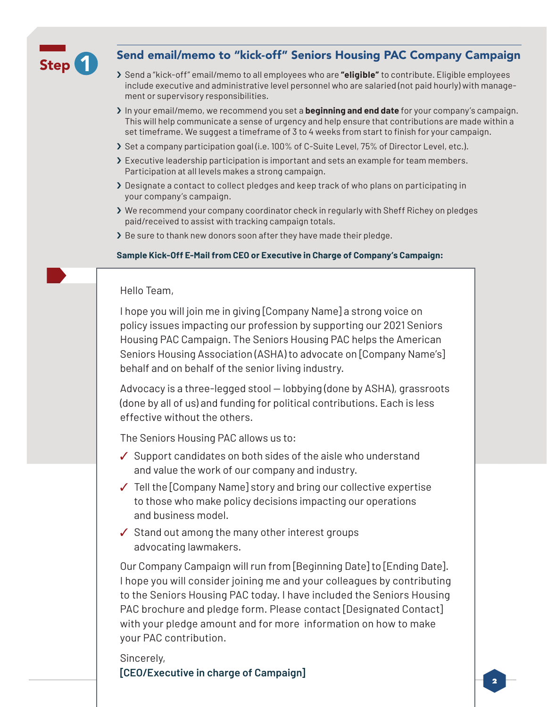

## Send email/memo to "kick-off" Seniors Housing PAC Company Campaign

- › Send a "kick-off" email/memo to all employees who are **"eligible"** to contribute. Eligible employees include executive and administrative level personnel who are salaried (not paid hourly) with management or supervisory responsibilities.
- › In your email/memo, we recommend you set a **beginning and end date** for your company's campaign. This will help communicate a sense of urgency and help ensure that contributions are made within a set timeframe. We suggest a timeframe of 3 to 4 weeks from start to finish for your campaign.
- › Set a company participation goal (i.e. 100% of C-Suite Level, 75% of Director Level, etc.).
- › Executive leadership participation is important and sets an example for team members. Participation at all levels makes a strong campaign.
- › Designate a contact to collect pledges and keep track of who plans on participating in your company's campaign.
- › We recommend your company coordinator check in regularly with Sheff Richey on pledges paid/received to assist with tracking campaign totals.
- > Be sure to thank new donors soon after they have made their pledge.

#### **Sample Kick-Off E-Mail from CEO or Executive in Charge of Company's Campaign:**

#### Hello Team,

I hope you will join me in giving [Company Name] a strong voice on policy issues impacting our profession by supporting our 2021 Seniors Housing PAC Campaign. The Seniors Housing PAC helps the American Seniors Housing Association (ASHA) to advocate on [Company Name's] behalf and on behalf of the senior living industry.

Advocacy is a three-legged stool — lobbying (done by ASHA), grassroots (done by all of us) and funding for political contributions. Each is less effective without the others.

The Seniors Housing PAC allows us to:

- ✓ Support candidates on both sides of the aisle who understand and value the work of our company and industry.
- ✓ Tell the [Company Name] story and bring our collective expertise to those who make policy decisions impacting our operations and business model.
- ✓ Stand out among the many other interest groups advocating lawmakers.

Our Company Campaign will run from [Beginning Date] to [Ending Date]. I hope you will consider joining me and your colleagues by contributing to the Seniors Housing PAC today. I have included the Seniors Housing PAC brochure and pledge form. Please contact [Designated Contact] with your pledge amount and for more information on how to make your PAC contribution.

Sincerely, **[CEO/Executive in charge of Campaign]**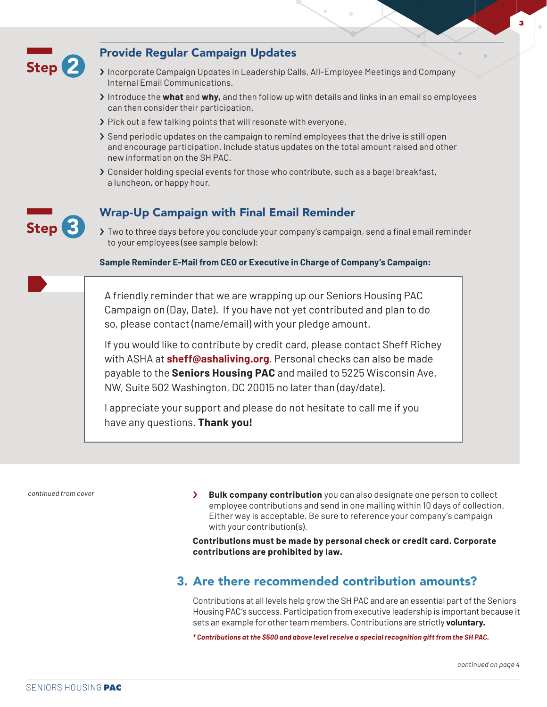

*continued from cover*

› **Bulk company contribution** you can also designate one person to collect employee contributions and send in one mailing within 10 days of collection. Either way is acceptable. Be sure to reference your company's campaign with your contribution(s).

**Contributions must be made by personal check or credit card. Corporate contributions are prohibited by law.**

## 3. Are there recommended contribution amounts?

Contributions at all levels help grow the SH PAC and are an essential part of the Seniors Housing PAC's success. Participation from executive leadership is important because it sets an example for other team members. Contributions are strictly **voluntary.**

*\* Contributions at the \$500 and above level receive a special recognition gift from the SH PAC.*